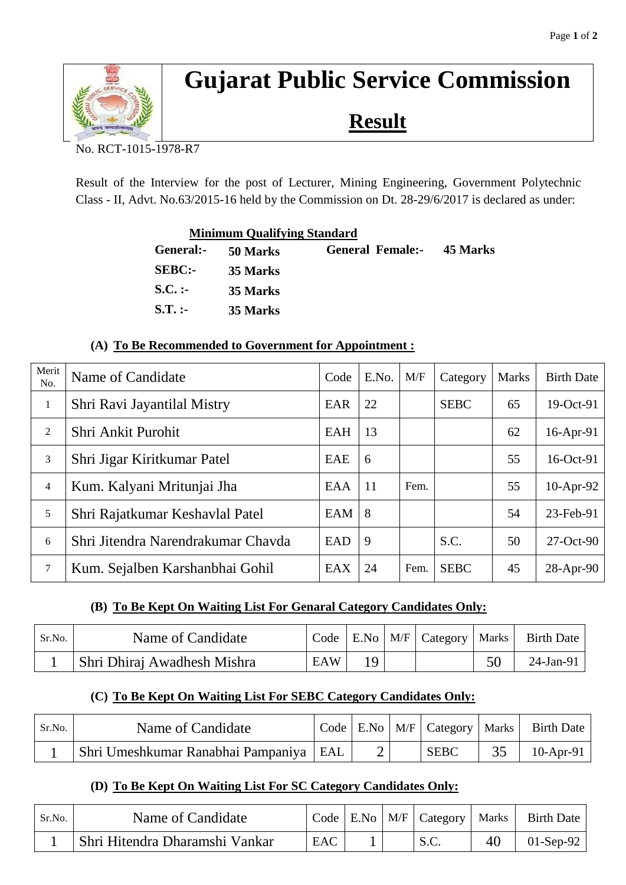

# **Gujarat Public Service Commission**

**Result**

No. RCT-1015-1978-R7

Result of the Interview for the post of Lecturer, Mining Engineering, Government Polytechnic Class - II, Advt. No.63/2015-16 held by the Commission on Dt. 28-29/6/2017 is declared as under:

|               | <b>Minimum Qualifying Standard</b> |                                  |  |
|---------------|------------------------------------|----------------------------------|--|
| General:-     | 50 Marks                           | <b>General Female:- 45 Marks</b> |  |
| <b>SEBC:-</b> | 35 Marks                           |                                  |  |
| $S.C.$ :      | 35 Marks                           |                                  |  |
| $S.T.$ :-     | 35 Marks                           |                                  |  |

### **(A) To Be Recommended to Government for Appointment :**

| Merit<br>No.   | Name of Candidate                  | Code | E.No. | M/F  | Category    | <b>Marks</b> | <b>Birth Date</b> |
|----------------|------------------------------------|------|-------|------|-------------|--------------|-------------------|
| $\mathbf{1}$   | Shri Ravi Jayantilal Mistry        | EAR  | 22    |      | <b>SEBC</b> | 65           | 19-Oct-91         |
| $\overline{2}$ | Shri Ankit Purohit                 | EAH  | 13    |      |             | 62           | 16-Apr-91         |
| 3              | Shri Jigar Kiritkumar Patel        | EAE  | 6     |      |             | 55           | 16-Oct-91         |
| $\overline{4}$ | Kum. Kalyani Mritunjai Jha         | EAA  | 11    | Fem. |             | 55           | 10-Apr-92         |
| 5              | Shri Rajatkumar Keshavlal Patel    | EAM  | 8     |      |             | 54           | 23-Feb-91         |
| 6              | Shri Jitendra Narendrakumar Chavda | EAD  | 9     |      | S.C.        | 50           | 27-Oct-90         |
| $\tau$         | Kum. Sejalben Karshanbhai Gohil    | EAX  | 24    | Fem. | <b>SEBC</b> | 45           | $28-Apr-90$       |

# **(B) To Be Kept On Waiting List For Genaral Category Candidates Only:**

| Sr.No. | Name of Candidate           |     |     | Code   E.No   M/F   Category   Marks | <b>Birth Date</b> |
|--------|-----------------------------|-----|-----|--------------------------------------|-------------------|
|        | Shri Dhiraj Awadhesh Mishra | EAW | 1 Q |                                      | 24-Jan-91         |

# **(C) To Be Kept On Waiting List For SEBC Category Candidates Only:**

| Sr.No. | Name of Candidate                        |  | $Code   E.No   M/F   Category   Marks  $ | Birth Date   |
|--------|------------------------------------------|--|------------------------------------------|--------------|
|        | Shri Umeshkumar Ranabhai Pampaniya   EAL |  | <b>SEBC</b>                              | $10$ -Apr-91 |

#### **(D) To Be Kept On Waiting List For SC Category Candidates Only:**

| Sr.No. | Name of Candidate              |     |  | Code   E.No   M/F   Category   Marks ' |    | <b>Birth Date</b> |
|--------|--------------------------------|-----|--|----------------------------------------|----|-------------------|
|        | Shri Hitendra Dharamshi Vankar | EAC |  | S.C.                                   | 40 | $01-Sep-92$       |